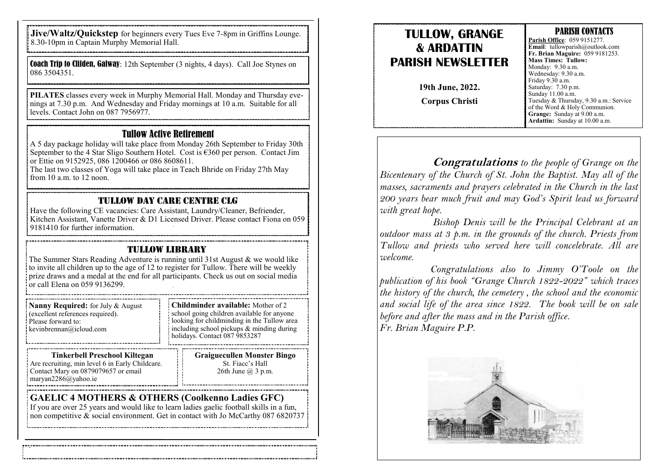**Jive/Waltz/Quickstep** for beginners every Tues Eve 7-8pm in Griffins Lounge. 8.30-10pm in Captain Murphy Memorial Hall.

Coach Trip to Clifden, Galway: 12th September (3 nights, 4 days). Call Joe Stynes on 086 3504351.

**PILATES** classes every week in Murphy Memorial Hall. Monday and Thursday evenings at 7.30 p.m. And Wednesday and Friday mornings at 10 a.m. Suitable for all levels. Contact John on 087 7956977.

#### Tullow Active Retirement

A 5 day package holiday will take place from Monday 26th September to Friday 30th September to the 4 Star Sligo Southern Hotel. Cost is  $\epsilon$ 360 per person. Contact Jim or Ettie on 9152925, 086 1200466 or 086 8608611.

The last two classes of Yoga will take place in Teach Bhride on Friday 27th May from 10 a.m. to 12 noon.

#### Tullow Day Care Centre CLG

Have the following CE vacancies: Care Assistant, Laundry/Cleaner, Befriender, Kitchen Assistant, Vanette Driver & D1 Licensed Driver. Please contact Fiona on 059 9181410 for further information.

#### TULLOW LIBRARY

The Summer Stars Reading Adventure is running until 31st August & we would like to invite all children up to the age of 12 to register for Tullow. There will be weekly prize draws and a medal at the end for all participants. Check us out on social media  $\frac{1}{2}$  or call Elena on 059 9136299.

| Nanny Required: for July & August<br>(excellent references required).<br>Please forward to:<br>$\equiv$ kevinbrennan@icloud.com | : Childminder available: Mother of 2<br>school going children available for anyone<br>looking for childminding in the Tullow area<br>including school pickups & minding during<br>: holidays. Contact 087 9853287 |
|---------------------------------------------------------------------------------------------------------------------------------|-------------------------------------------------------------------------------------------------------------------------------------------------------------------------------------------------------------------|
| THE LEADER IN THE RESIDENCE IN TANK COLLECTED                                                                                   |                                                                                                                                                                                                                   |

**Tinkerbell Preschool Kiltegan** Are recruiting, min level 6 in Early Childcare. Contact Mary on 0879079657 or email maryan2286@yahoo.ie

**Graiguecullen Monster Bingo** St. Fiacc's Hall 26th June @ 3 p.m.

#### **GAELIC 4 MOTHERS & OTHERS (Coolkenno Ladies GFC)**

If you are over 25 years and would like to learn ladies gaelic football skills in a fun, non competitive & social environment. Get in contact with Jo McCarthy 087 6820737

## **TULLOW, GRANGE & ARDATTIN PARISH NEWSLETTER**

**19th June, 2022. Corpus Christi**

#### PARISH CONTACTS

**Parish Office**: 059 9151277. **Email**: tullowparish@outlook.com **Fr. Brian Maguire:** 059 9181253. **Mass Times: Tullow:**  Monday: 9.30 a.m. Wednesday: 9.30 a.m. Friday 9.30 a.m. Saturday: 7.30 p.m. Sunday 11.00 a.m. Tuesday & Thursday, 9.30 a.m.: Service of the Word & Holy Communion. **Grange:** Sunday at 9.00 a.m. **Ardattin:** Sunday at 10.00 a.m.

**Congratulations** *to the people of Grange on the Bicentenary of the Church of St. John the Baptist. May all of the masses, sacraments and prayers celebrated in the Church in the last 200 years bear much fruit and may God's Spirit lead us forward with great hope.*

 *Bishop Denis will be the Principal Celebrant at an outdoor mass at 3 p.m. in the grounds of the church. Priests from Tullow and priests who served here will concelebrate. All are welcome.*

 *Congratulations also to Jimmy O'Toole on the publication of his book "Grange Church 1822-2022" which traces the history of the church, the cemetery , the school and the economic and social life of the area since 1822. The book will be on sale before and after the mass and in the Parish office. Fr. Brian Maguire P.P.*